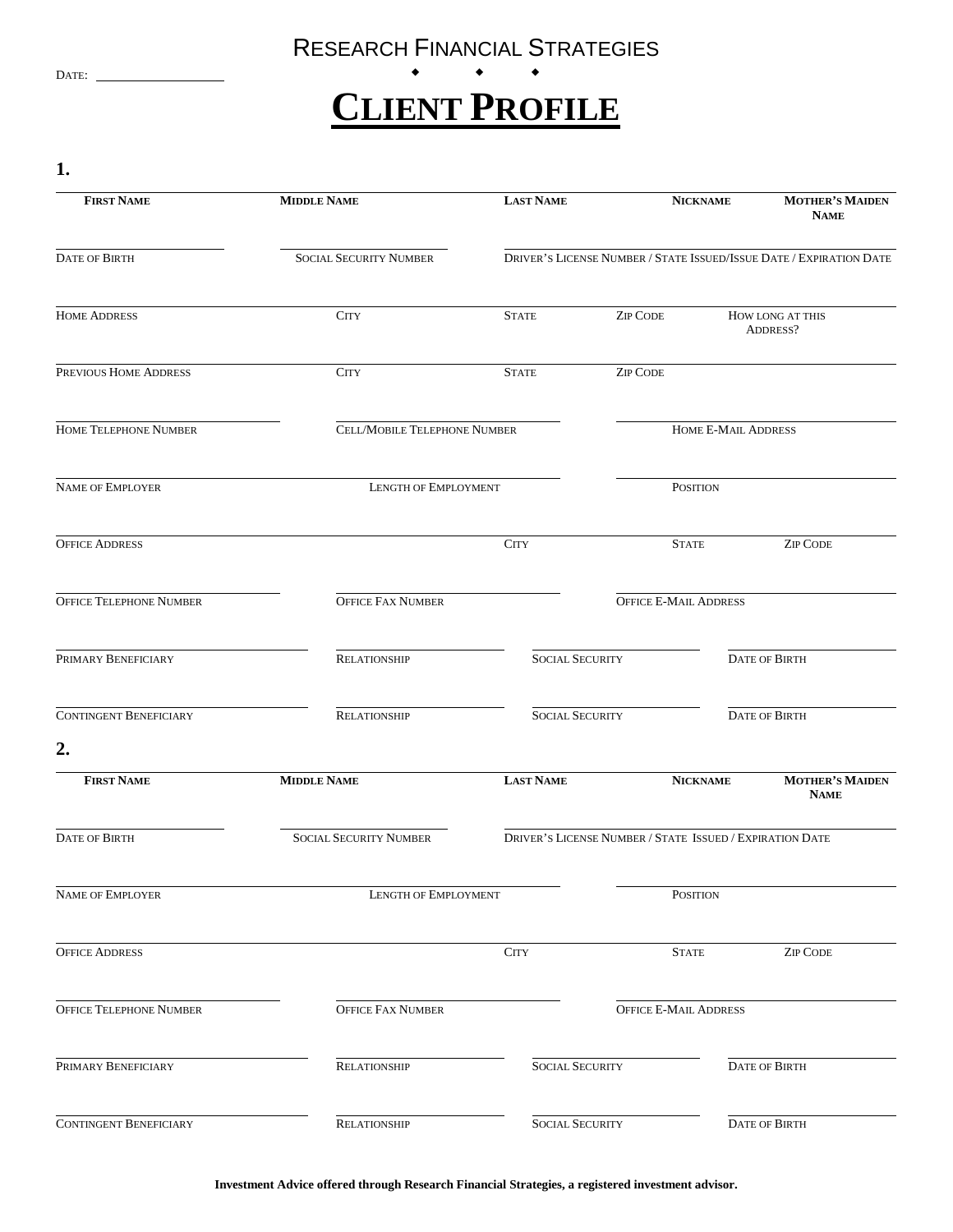## RESEARCH FINANCIAL STRATEGIES

## DATE:  $\qquad \qquad \bullet \qquad \bullet \qquad \bullet$ **CLIENT PROFILE**

**1.**

| <b>FIRST NAME</b>              | <b>MIDDLE NAME</b>                  | <b>LAST NAME</b>                                                    |                                                          | <b>NICKNAME</b> | <b>MOTHER'S MAIDEN</b><br><b>NAME</b> |
|--------------------------------|-------------------------------------|---------------------------------------------------------------------|----------------------------------------------------------|-----------------|---------------------------------------|
| <b>DATE OF BIRTH</b>           | <b>SOCIAL SECURITY NUMBER</b>       | DRIVER'S LICENSE NUMBER / STATE ISSUED/ISSUE DATE / EXPIRATION DATE |                                                          |                 |                                       |
| <b>HOME ADDRESS</b>            | <b>CITY</b>                         | <b>STATE</b>                                                        | <b>ZIP CODE</b>                                          |                 | HOW LONG AT THIS<br>ADDRESS?          |
| PREVIOUS HOME ADDRESS          | <b>CITY</b>                         | <b>STATE</b>                                                        | <b>ZIP CODE</b>                                          |                 |                                       |
| <b>HOME TELEPHONE NUMBER</b>   | <b>CELL/MOBILE TELEPHONE NUMBER</b> |                                                                     | HOME E-MAIL ADDRESS                                      |                 |                                       |
| <b>NAME OF EMPLOYER</b>        | LENGTH OF EMPLOYMENT                |                                                                     | <b>POSITION</b>                                          |                 |                                       |
| <b>OFFICE ADDRESS</b>          |                                     | <b>CITY</b>                                                         | <b>STATE</b>                                             |                 | <b>ZIP CODE</b>                       |
| <b>OFFICE TELEPHONE NUMBER</b> | <b>OFFICE FAX NUMBER</b>            |                                                                     | <b>OFFICE E-MAIL ADDRESS</b>                             |                 |                                       |
| PRIMARY BENEFICIARY            | <b>RELATIONSHIP</b>                 | <b>SOCIAL SECURITY</b>                                              |                                                          |                 | <b>DATE OF BIRTH</b>                  |
| <b>CONTINGENT BENEFICIARY</b>  | <b>RELATIONSHIP</b>                 | <b>SOCIAL SECURITY</b>                                              |                                                          |                 | <b>DATE OF BIRTH</b>                  |
| 2.                             |                                     |                                                                     |                                                          |                 |                                       |
| <b>FIRST NAME</b>              | <b>MIDDLE NAME</b>                  | <b>LAST NAME</b>                                                    |                                                          | <b>NICKNAME</b> | <b>MOTHER'S MAIDEN</b><br><b>NAME</b> |
| <b>DATE OF BIRTH</b>           | <b>SOCIAL SECURITY NUMBER</b>       |                                                                     | DRIVER'S LICENSE NUMBER / STATE ISSUED / EXPIRATION DATE |                 |                                       |
| NAME OF EMPLOYER               | LENGTH OF EMPLOYMENT                |                                                                     | <b>POSITION</b>                                          |                 |                                       |
| <b>OFFICE ADDRESS</b>          |                                     | <b>CITY</b>                                                         | <b>STATE</b>                                             |                 | <b>ZIP CODE</b>                       |
| OFFICE TELEPHONE NUMBER        | <b>OFFICE FAX NUMBER</b>            |                                                                     | OFFICE E-MAIL ADDRESS                                    |                 |                                       |
| PRIMARY BENEFICIARY            | RELATIONSHIP                        | <b>SOCIAL SECURITY</b>                                              |                                                          |                 | DATE OF BIRTH                         |
| CONTINGENT BENEFICIARY         | <b>RELATIONSHIP</b>                 | <b>SOCIAL SECURITY</b>                                              |                                                          |                 | <b>DATE OF BIRTH</b>                  |